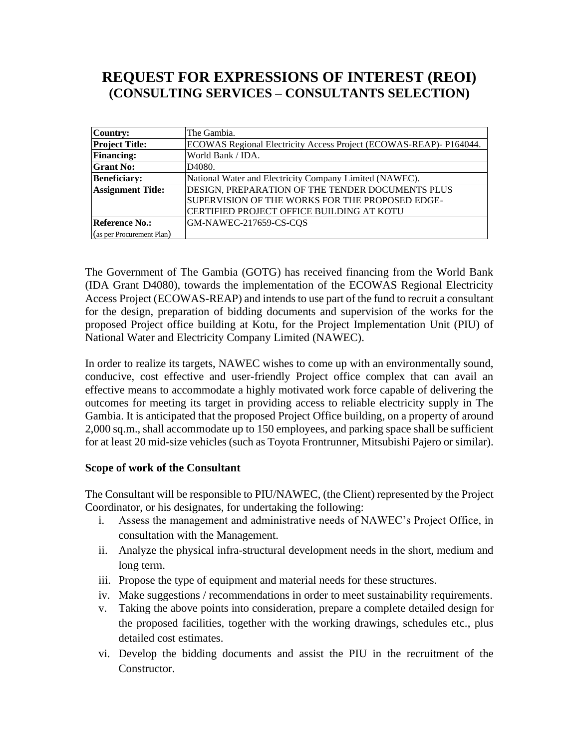## **REQUEST FOR EXPRESSIONS OF INTEREST (REOI) (CONSULTING SERVICES – CONSULTANTS SELECTION)**

| <b>Country:</b>           | The Gambia.                                                                                         |
|---------------------------|-----------------------------------------------------------------------------------------------------|
| <b>Project Title:</b>     | ECOWAS Regional Electricity Access Project (ECOWAS-REAP)- P164044.                                  |
| <b>Financing:</b>         | World Bank / IDA.                                                                                   |
| <b>Grant No:</b>          | D <sub>4080</sub> .                                                                                 |
| <b>Beneficiary:</b>       | National Water and Electricity Company Limited (NAWEC).                                             |
| <b>Assignment Title:</b>  | DESIGN, PREPARATION OF THE TENDER DOCUMENTS PLUS<br>SUPERVISION OF THE WORKS FOR THE PROPOSED EDGE- |
|                           | CERTIFIED PROJECT OFFICE BUILDING AT KOTU                                                           |
| <b>Reference No.:</b>     | GM-NAWEC-217659-CS-CQS                                                                              |
| (as per Procurement Plan) |                                                                                                     |

The Government of The Gambia (GOTG) has received financing from the World Bank (IDA Grant D4080), towards the implementation of the ECOWAS Regional Electricity Access Project (ECOWAS-REAP) and intends to use part of the fund to recruit a consultant for the design, preparation of bidding documents and supervision of the works for the proposed Project office building at Kotu, for the Project Implementation Unit (PIU) of National Water and Electricity Company Limited (NAWEC).

In order to realize its targets, NAWEC wishes to come up with an environmentally sound, conducive, cost effective and user-friendly Project office complex that can avail an effective means to accommodate a highly motivated work force capable of delivering the outcomes for meeting its target in providing access to reliable electricity supply in The Gambia. It is anticipated that the proposed Project Office building, on a property of around 2,000 sq.m., shall accommodate up to 150 employees, and parking space shall be sufficient for at least 20 mid-size vehicles (such as Toyota Frontrunner, Mitsubishi Pajero or similar).

## **Scope of work of the Consultant**

The Consultant will be responsible to PIU/NAWEC, (the Client) represented by the Project Coordinator, or his designates, for undertaking the following:

- i. Assess the management and administrative needs of NAWEC's Project Office, in consultation with the Management.
- ii. Analyze the physical infra-structural development needs in the short, medium and long term.
- iii. Propose the type of equipment and material needs for these structures.
- iv. Make suggestions / recommendations in order to meet sustainability requirements.
- v. Taking the above points into consideration, prepare a complete detailed design for the proposed facilities, together with the working drawings, schedules etc., plus detailed cost estimates.
- vi. Develop the bidding documents and assist the PIU in the recruitment of the Constructor.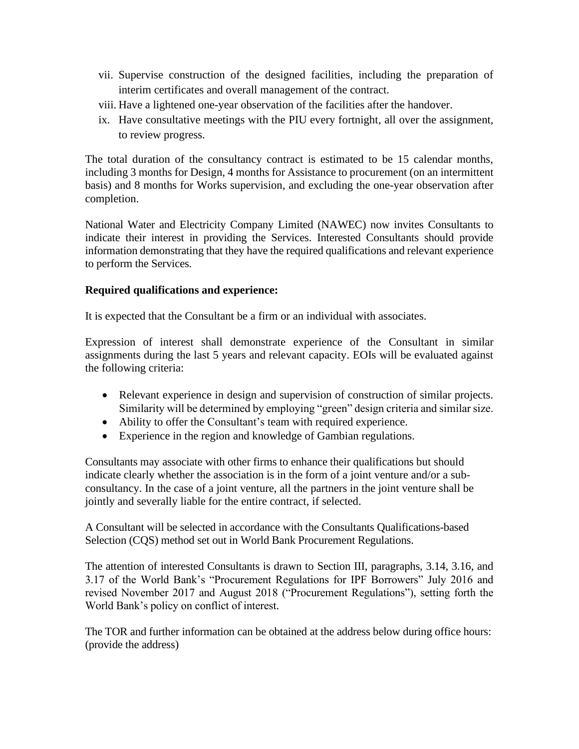- vii. Supervise construction of the designed facilities, including the preparation of interim certificates and overall management of the contract.
- viii. Have a lightened one-year observation of the facilities after the handover.
- ix. Have consultative meetings with the PIU every fortnight, all over the assignment, to review progress.

The total duration of the consultancy contract is estimated to be 15 calendar months, including 3 months for Design, 4 months for Assistance to procurement (on an intermittent basis) and 8 months for Works supervision, and excluding the one-year observation after completion.

National Water and Electricity Company Limited (NAWEC) now invites Consultants to indicate their interest in providing the Services. Interested Consultants should provide information demonstrating that they have the required qualifications and relevant experience to perform the Services.

## **Required qualifications and experience:**

It is expected that the Consultant be a firm or an individual with associates.

Expression of interest shall demonstrate experience of the Consultant in similar assignments during the last 5 years and relevant capacity. EOIs will be evaluated against the following criteria:

- Relevant experience in design and supervision of construction of similar projects. Similarity will be determined by employing "green" design criteria and similar size.
- Ability to offer the Consultant's team with required experience.
- Experience in the region and knowledge of Gambian regulations.

Consultants may associate with other firms to enhance their qualifications but should indicate clearly whether the association is in the form of a joint venture and/or a subconsultancy. In the case of a joint venture, all the partners in the joint venture shall be jointly and severally liable for the entire contract, if selected.

A Consultant will be selected in accordance with the Consultants Qualifications-based Selection (CQS) method set out in World Bank Procurement Regulations.

The attention of interested Consultants is drawn to Section III, paragraphs, 3.14, 3.16, and 3.17 of the World Bank's "Procurement Regulations for IPF Borrowers" July 2016 and revised November 2017 and August 2018 ("Procurement Regulations"), setting forth the World Bank's policy on conflict of interest.

The TOR and further information can be obtained at the address below during office hours: (provide the address)